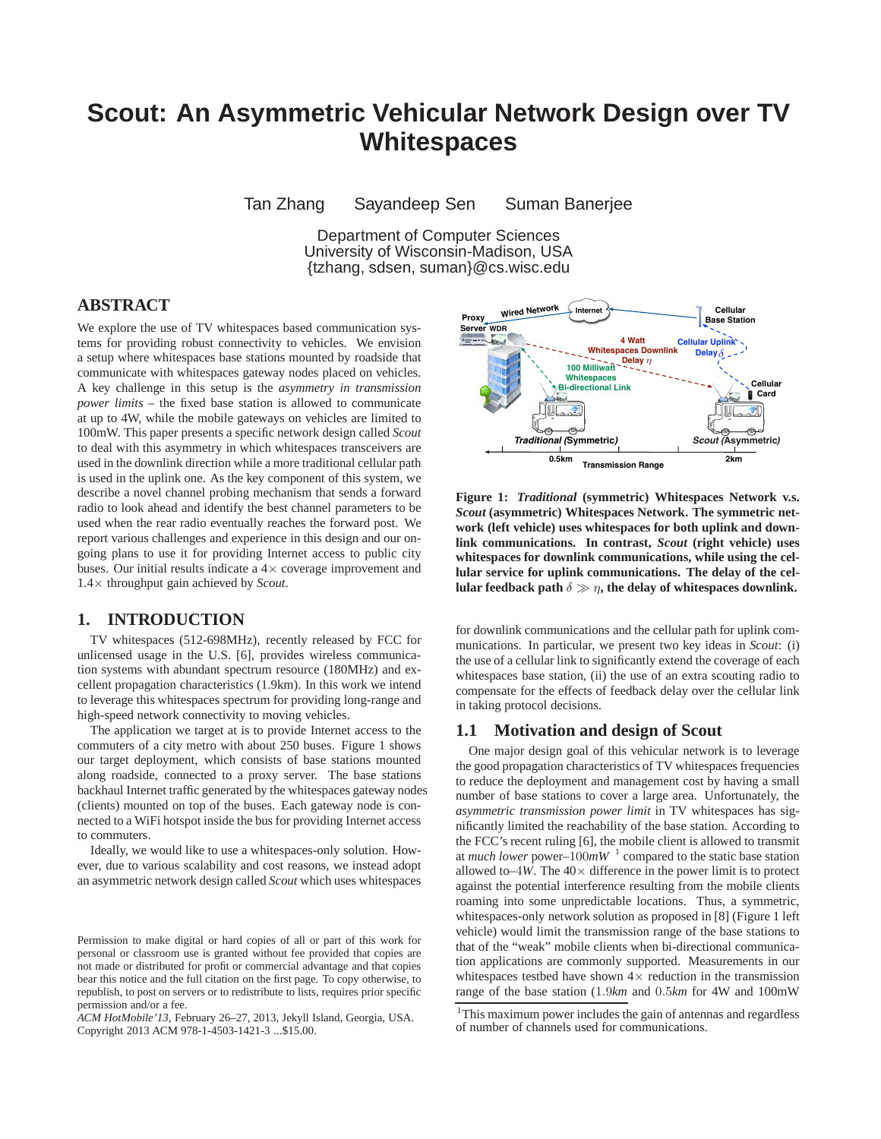# **Scout: An Asymmetric Vehicular Network Design over TV Whitespaces**

Tan Zhang Sayandeep Sen Suman Banerjee

Department of Computer Sciences University of Wisconsin-Madison, USA {tzhang, sdsen, suman}@cs.wisc.edu

# **ABSTRACT**

We explore the use of TV whitespaces based communication systems for providing robust connectivity to vehicles. We envision a setup where whitespaces base stations mounted by roadside that communicate with whitespaces gateway nodes placed on vehicles. A key challenge in this setup is the *asymmetry in transmission power limits* – the fixed base station is allowed to communicate at up to 4W, while the mobile gateways on vehicles are limited to 100mW. This paper presents a specific network design called *Scout* to deal with this asymmetry in which whitespaces transceivers are used in the downlink direction while a more traditional cellular path is used in the uplink one. As the key component of this system, we describe a novel channel probing mechanism that sends a forward radio to look ahead and identify the best channel parameters to be used when the rear radio eventually reaches the forward post. We report various challenges and experience in this design and our ongoing plans to use it for providing Internet access to public city buses. Our initial results indicate a  $4\times$  coverage improvement and 1.4× throughput gain achieved by *Scout*.

# **1. INTRODUCTION**

TV whitespaces (512-698MHz), recently released by FCC for unlicensed usage in the U.S. [6], provides wireless communication systems with abundant spectrum resource (180MHz) and excellent propagation characteristics (1.9km). In this work we intend to leverage this whitespaces spectrum for providing long-range and high-speed network connectivity to moving vehicles.

The application we target at is to provide Internet access to the commuters of a city metro with about 250 buses. Figure 1 shows our target deployment, which consists of base stations mounted along roadside, connected to a proxy server. The base stations backhaul Internet traffic generated by the whitespaces gateway nodes (clients) mounted on top of the buses. Each gateway node is connected to a WiFi hotspot inside the bus for providing Internet access to commuters.

Ideally, we would like to use a whitespaces-only solution. However, due to various scalability and cost reasons, we instead adopt an asymmetric network design called *Scout* which uses whitespaces



**Figure 1:** *Traditional* **(symmetric) Whitespaces Network v.s.** *Scout* **(asymmetric) Whitespaces Network. The symmetric network (left vehicle) uses whitespaces for both uplink and downlink communications. In contrast,** *Scout* **(right vehicle) uses whitespaces for downlink communications, while using the cellular service for uplink communications. The delay of the cellular feedback path**  $\delta \gg \eta$ , the delay of whitespaces downlink.

for downlink communications and the cellular path for uplink communications. In particular, we present two key ideas in *Scout*: (i) the use of a cellular link to significantly extend the coverage of each whitespaces base station, (ii) the use of an extra scouting radio to compensate for the effects of feedback delay over the cellular link in taking protocol decisions.

#### **1.1 Motivation and design of Scout**

One major design goal of this vehicular network is to leverage the good propagation characteristics of TV whitespaces frequencies to reduce the deployment and management cost by having a small number of base stations to cover a large area. Unfortunately, the *asymmetric transmission power limit* in TV whitespaces has significantly limited the reachability of the base station. According to the FCC's recent ruling [6], the mobile client is allowed to transmit at *much lower* power– $100mW^{-1}$  compared to the static base station allowed to–4*W*. The  $40\times$  difference in the power limit is to protect against the potential interference resulting from the mobile clients roaming into some unpredictable locations. Thus, a symmetric, whitespaces-only network solution as proposed in [8] (Figure 1 left vehicle) would limit the transmission range of the base stations to that of the "weak" mobile clients when bi-directional communication applications are commonly supported. Measurements in our whitespaces testbed have shown  $4 \times$  reduction in the transmission range of the base station (1.9*km* and 0.5*km* for 4W and 100mW

Permission to make digital or hard copies of all or part of this work for personal or classroom use is granted without fee provided that copies are not made or distributed for profit or commercial advantage and that copies bear this notice and the full citation on the first page. To copy otherwise, to republish, to post on servers or to redistribute to lists, requires prior specific permission and/or a fee.

*ACM HotMobile'13,* February 26–27, 2013, Jekyll Island, Georgia, USA. Copyright 2013 ACM 978-1-4503-1421-3 ...\$15.00.

<sup>&</sup>lt;sup>1</sup>This maximum power includes the gain of antennas and regardless of number of channels used for communications.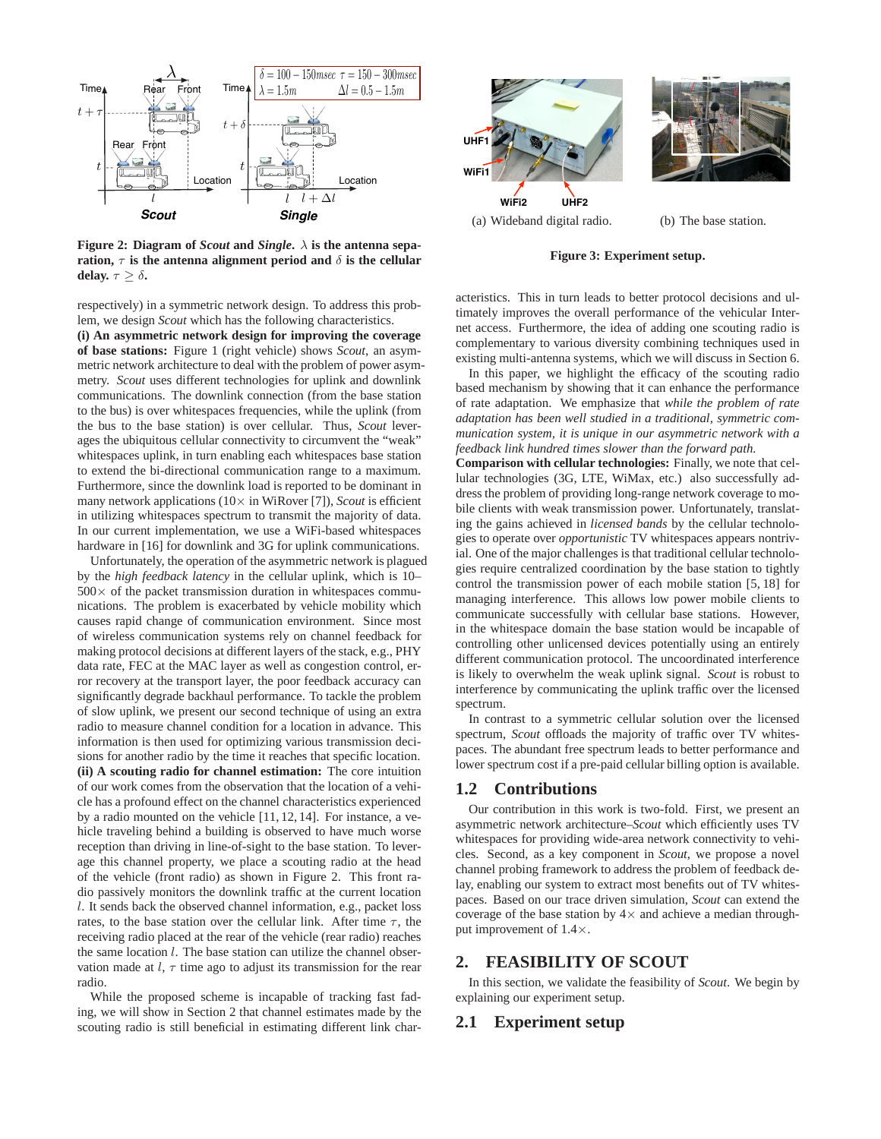

**Figure 2: Diagram of** *Scout* and *Single***.**  $\lambda$  is the antenna sepa**ration,**  $\tau$  **is the antenna alignment period and**  $\delta$  **is the cellular delay.**  $\tau \geq \delta$ .

respectively) in a symmetric network design. To address this problem, we design *Scout* which has the following characteristics.

**(i) An asymmetric network design for improving the coverage of base stations:** Figure 1 (right vehicle) shows *Scout*, an asymmetric network architecture to deal with the problem of power asymmetry. *Scout* uses different technologies for uplink and downlink communications. The downlink connection (from the base station to the bus) is over whitespaces frequencies, while the uplink (from the bus to the base station) is over cellular. Thus, *Scout* leverages the ubiquitous cellular connectivity to circumvent the "weak" whitespaces uplink, in turn enabling each whitespaces base station to extend the bi-directional communication range to a maximum. Furthermore, since the downlink load is reported to be dominant in many network applications (10× in WiRover [7]), *Scout* is efficient in utilizing whitespaces spectrum to transmit the majority of data. In our current implementation, we use a WiFi-based whitespaces hardware in [16] for downlink and 3G for uplink communications.

Unfortunately, the operation of the asymmetric network is plagued by the *high feedback latency* in the cellular uplink, which is 10–  $500\times$  of the packet transmission duration in whitespaces communications. The problem is exacerbated by vehicle mobility which causes rapid change of communication environment. Since most of wireless communication systems rely on channel feedback for making protocol decisions at different layers of the stack, e.g., PHY data rate, FEC at the MAC layer as well as congestion control, error recovery at the transport layer, the poor feedback accuracy can significantly degrade backhaul performance. To tackle the problem of slow uplink, we present our second technique of using an extra radio to measure channel condition for a location in advance. This information is then used for optimizing various transmission decisions for another radio by the time it reaches that specific location. **(ii) A scouting radio for channel estimation:** The core intuition of our work comes from the observation that the location of a vehicle has a profound effect on the channel characteristics experienced by a radio mounted on the vehicle [11, 12, 14]. For instance, a vehicle traveling behind a building is observed to have much worse reception than driving in line-of-sight to the base station. To leverage this channel property, we place a scouting radio at the head of the vehicle (front radio) as shown in Figure 2. This front radio passively monitors the downlink traffic at the current location l. It sends back the observed channel information, e.g., packet loss rates, to the base station over the cellular link. After time  $\tau$ , the receiving radio placed at the rear of the vehicle (rear radio) reaches the same location  $l$ . The base station can utilize the channel observation made at  $l, \tau$  time ago to adjust its transmission for the rear radio.

While the proposed scheme is incapable of tracking fast fading, we will show in Section 2 that channel estimates made by the scouting radio is still beneficial in estimating different link char-



**Figure 3: Experiment setup.**

acteristics. This in turn leads to better protocol decisions and ultimately improves the overall performance of the vehicular Internet access. Furthermore, the idea of adding one scouting radio is complementary to various diversity combining techniques used in existing multi-antenna systems, which we will discuss in Section 6.

In this paper, we highlight the efficacy of the scouting radio based mechanism by showing that it can enhance the performance of rate adaptation. We emphasize that *while the problem of rate adaptation has been well studied in a traditional, symmetric communication system, it is unique in our asymmetric network with a feedback link hundred times slower than the forward path.*

**Comparison with cellular technologies:** Finally, we note that cellular technologies (3G, LTE, WiMax, etc.) also successfully address the problem of providing long-range network coverage to mobile clients with weak transmission power. Unfortunately, translating the gains achieved in *licensed bands* by the cellular technologies to operate over *opportunistic* TV whitespaces appears nontrivial. One of the major challenges is that traditional cellular technologies require centralized coordination by the base station to tightly control the transmission power of each mobile station [5, 18] for managing interference. This allows low power mobile clients to communicate successfully with cellular base stations. However, in the whitespace domain the base station would be incapable of controlling other unlicensed devices potentially using an entirely different communication protocol. The uncoordinated interference is likely to overwhelm the weak uplink signal. *Scout* is robust to interference by communicating the uplink traffic over the licensed spectrum.

In contrast to a symmetric cellular solution over the licensed spectrum, *Scout* offloads the majority of traffic over TV whitespaces. The abundant free spectrum leads to better performance and lower spectrum cost if a pre-paid cellular billing option is available.

#### **1.2 Contributions**

Our contribution in this work is two-fold. First, we present an asymmetric network architecture–*Scout* which efficiently uses TV whitespaces for providing wide-area network connectivity to vehicles. Second, as a key component in *Scout*, we propose a novel channel probing framework to address the problem of feedback delay, enabling our system to extract most benefits out of TV whitespaces. Based on our trace driven simulation, *Scout* can extend the coverage of the base station by  $4 \times$  and achieve a median throughput improvement of 1.4×.

# **2. FEASIBILITY OF SCOUT**

In this section, we validate the feasibility of *Scout*. We begin by explaining our experiment setup.

# **2.1 Experiment setup**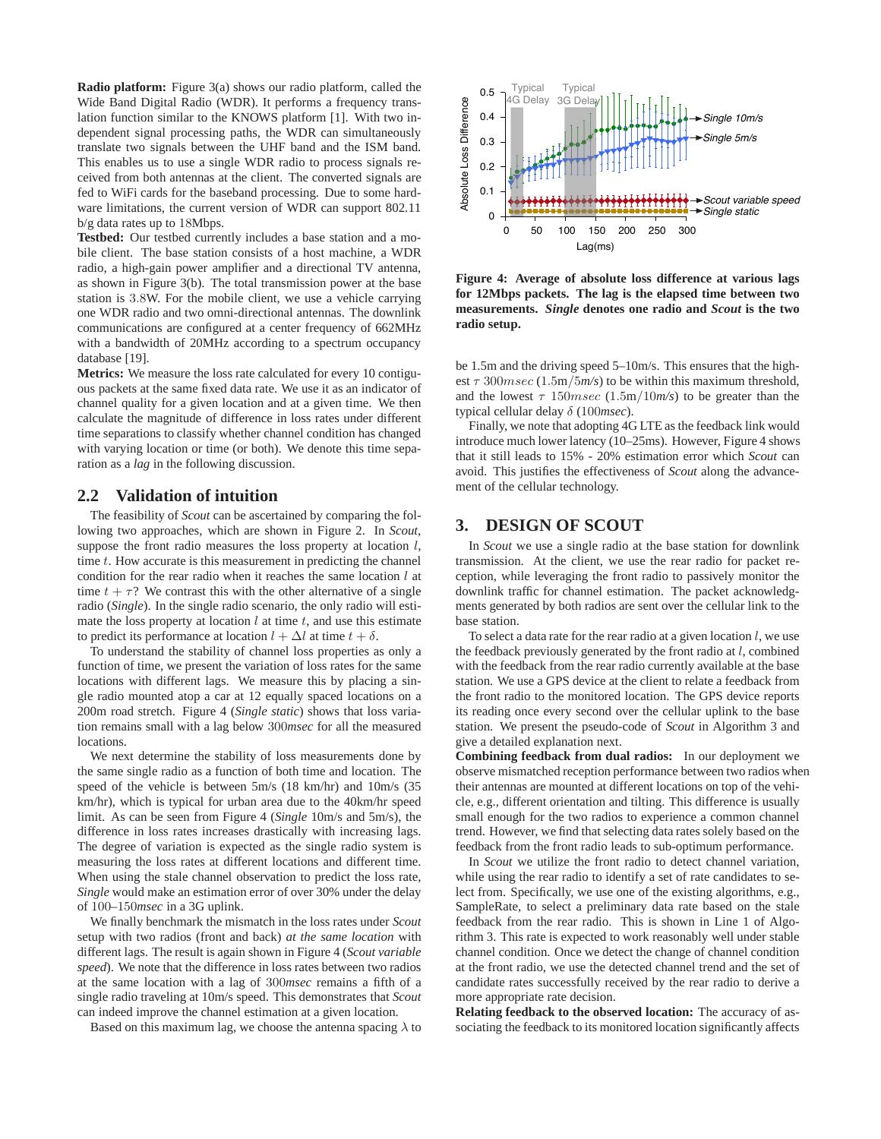**Radio platform:** Figure 3(a) shows our radio platform, called the Wide Band Digital Radio (WDR). It performs a frequency translation function similar to the KNOWS platform [1]. With two independent signal processing paths, the WDR can simultaneously translate two signals between the UHF band and the ISM band. This enables us to use a single WDR radio to process signals received from both antennas at the client. The converted signals are fed to WiFi cards for the baseband processing. Due to some hardware limitations, the current version of WDR can support 802.11 b/g data rates up to 18Mbps.

**Testbed:** Our testbed currently includes a base station and a mobile client. The base station consists of a host machine, a WDR radio, a high-gain power amplifier and a directional TV antenna, as shown in Figure 3(b). The total transmission power at the base station is 3.8W. For the mobile client, we use a vehicle carrying one WDR radio and two omni-directional antennas. The downlink communications are configured at a center frequency of 662MHz with a bandwidth of 20MHz according to a spectrum occupancy database [19].

**Metrics:** We measure the loss rate calculated for every 10 contiguous packets at the same fixed data rate. We use it as an indicator of channel quality for a given location and at a given time. We then calculate the magnitude of difference in loss rates under different time separations to classify whether channel condition has changed with varying location or time (or both). We denote this time separation as a *lag* in the following discussion.

#### **2.2 Validation of intuition**

The feasibility of *Scout* can be ascertained by comparing the following two approaches, which are shown in Figure 2. In *Scout*, suppose the front radio measures the loss property at location  $l$ , time  $t$ . How accurate is this measurement in predicting the channel condition for the rear radio when it reaches the same location  $l$  at time  $t + \tau$ ? We contrast this with the other alternative of a single radio (*Single*). In the single radio scenario, the only radio will estimate the loss property at location  $l$  at time  $t$ , and use this estimate to predict its performance at location  $l + \Delta l$  at time  $t + \delta$ .

To understand the stability of channel loss properties as only a function of time, we present the variation of loss rates for the same locations with different lags. We measure this by placing a single radio mounted atop a car at 12 equally spaced locations on a 200m road stretch. Figure 4 (*Single static*) shows that loss variation remains small with a lag below 300*msec* for all the measured **locations** 

We next determine the stability of loss measurements done by the same single radio as a function of both time and location. The speed of the vehicle is between 5m/s (18 km/hr) and 10m/s (35 km/hr), which is typical for urban area due to the 40km/hr speed limit. As can be seen from Figure 4 (*Single* 10m/s and 5m/s), the difference in loss rates increases drastically with increasing lags. The degree of variation is expected as the single radio system is measuring the loss rates at different locations and different time. When using the stale channel observation to predict the loss rate, *Single* would make an estimation error of over 30% under the delay of 100–150*msec* in a 3G uplink.

We finally benchmark the mismatch in the loss rates under *Scout* setup with two radios (front and back) *at the same location* with different lags. The result is again shown in Figure 4 (*Scout variable speed*). We note that the difference in loss rates between two radios at the same location with a lag of 300*msec* remains a fifth of a single radio traveling at 10m/s speed. This demonstrates that *Scout* can indeed improve the channel estimation at a given location.

Based on this maximum lag, we choose the antenna spacing  $\lambda$  to



**Figure 4: Average of absolute loss difference at various lags for 12Mbps packets. The lag is the elapsed time between two measurements.** *Single* **denotes one radio and** *Scout* **is the two radio setup.**

be 1.5m and the driving speed 5–10m/s. This ensures that the highest  $\tau$  300*msec* (1.5m/5*m/s*) to be within this maximum threshold, and the lowest  $\tau$  150*msec* (1.5m/10*m/s*) to be greater than the typical cellular delay δ (100*msec*).

Finally, we note that adopting 4G LTE as the feedback link would introduce much lower latency (10–25ms). However, Figure 4 shows that it still leads to 15% - 20% estimation error which *Scout* can avoid. This justifies the effectiveness of *Scout* along the advancement of the cellular technology.

#### **3. DESIGN OF SCOUT**

In *Scout* we use a single radio at the base station for downlink transmission. At the client, we use the rear radio for packet reception, while leveraging the front radio to passively monitor the downlink traffic for channel estimation. The packet acknowledgments generated by both radios are sent over the cellular link to the base station.

To select a data rate for the rear radio at a given location  $l$ , we use the feedback previously generated by the front radio at  $l$ , combined with the feedback from the rear radio currently available at the base station. We use a GPS device at the client to relate a feedback from the front radio to the monitored location. The GPS device reports its reading once every second over the cellular uplink to the base station. We present the pseudo-code of *Scout* in Algorithm 3 and give a detailed explanation next.

**Combining feedback from dual radios:** In our deployment we observe mismatched reception performance between two radios when their antennas are mounted at different locations on top of the vehicle, e.g., different orientation and tilting. This difference is usually small enough for the two radios to experience a common channel trend. However, we find that selecting data rates solely based on the feedback from the front radio leads to sub-optimum performance.

In *Scout* we utilize the front radio to detect channel variation, while using the rear radio to identify a set of rate candidates to select from. Specifically, we use one of the existing algorithms, e.g., SampleRate, to select a preliminary data rate based on the stale feedback from the rear radio. This is shown in Line 1 of Algorithm 3. This rate is expected to work reasonably well under stable channel condition. Once we detect the change of channel condition at the front radio, we use the detected channel trend and the set of candidate rates successfully received by the rear radio to derive a more appropriate rate decision.

**Relating feedback to the observed location:** The accuracy of associating the feedback to its monitored location significantly affects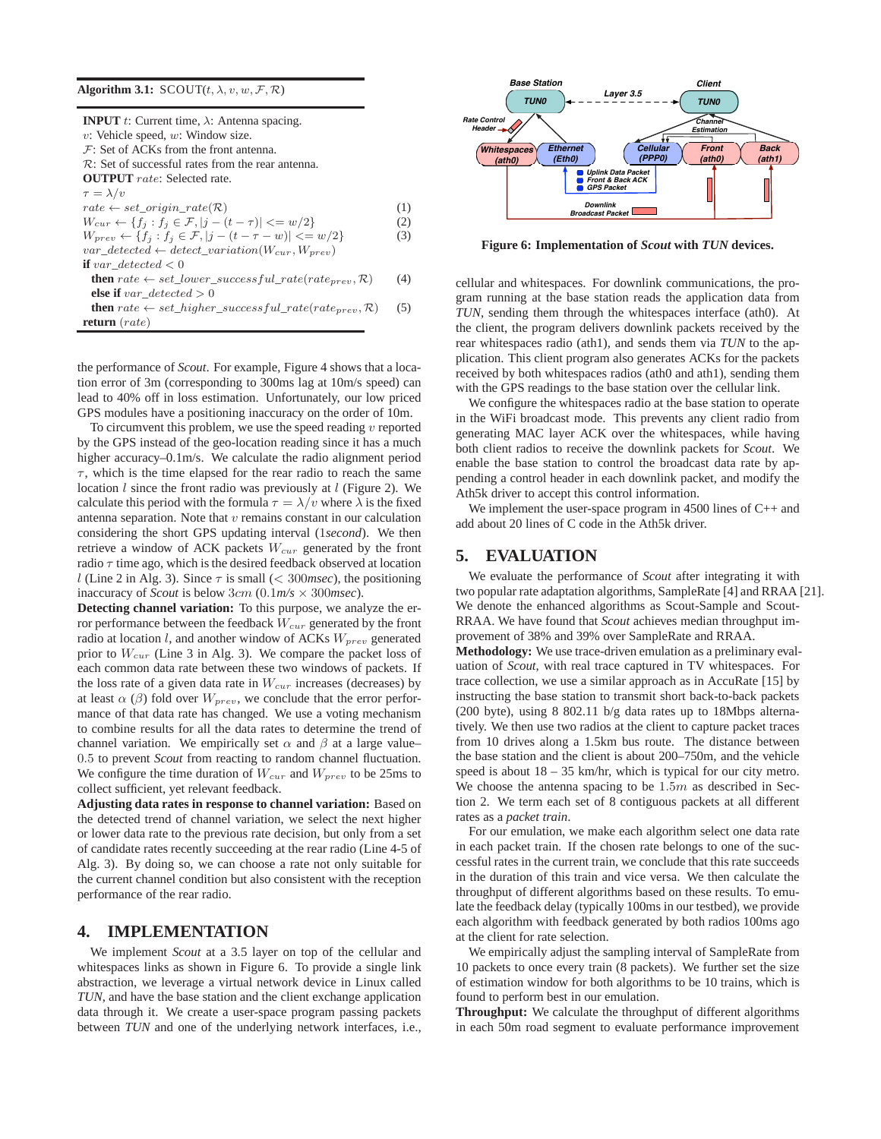**Algorithm 3.1:**  $SCOUT(t, \lambda, v, w, \mathcal{F}, \mathcal{R})$ 

| <b>INPUT</b> t: Current time, $\lambda$ : Antenna spacing.                                |
|-------------------------------------------------------------------------------------------|
| $v$ : Vehicle speed, $w$ : Window size.                                                   |
| $F$ : Set of ACKs from the front antenna.                                                 |
| $\mathcal{R}$ : Set of successful rates from the rear antenna.                            |
| <b>OUTPUT</b> rate: Selected rate.                                                        |
| $\tau = \lambda/v$                                                                        |
| $rate \leftarrow set \ origin \ rate(\mathcal{R})$<br>(1)                                 |
| $W_{cur} \leftarrow \{f_i : f_i \in \mathcal{F},  j - (t - \tau)  \leq w/2\}$<br>(2)      |
| $W_{prev} \leftarrow \{f_i : f_i \in \mathcal{F},  j - (t - \tau - w)  \leq w/2\}$<br>(3) |
| $var\_detected \leftarrow detect\_variation(W_{cur}, W_{prev})$                           |
| <b>if</b> var detected $\lt 0$                                                            |
| <b>then</b> $rate \leftarrow set_{lower\_successful\_rate}(rate_{prev}, R)$<br>(4)        |
| <b>else if</b> var detected $>0$                                                          |
| <b>then</b> rate $\leftarrow$ set_higher_successful_rate(rate <sub>prev</sub> , R)<br>(5) |
| return $(\text{rate})$                                                                    |

the performance of *Scout*. For example, Figure 4 shows that a location error of 3m (corresponding to 300ms lag at 10m/s speed) can lead to 40% off in loss estimation. Unfortunately, our low priced GPS modules have a positioning inaccuracy on the order of 10m.

To circumvent this problem, we use the speed reading  $v$  reported by the GPS instead of the geo-location reading since it has a much higher accuracy–0.1m/s. We calculate the radio alignment period  $\tau$ , which is the time elapsed for the rear radio to reach the same location  $l$  since the front radio was previously at  $l$  (Figure 2). We calculate this period with the formula  $\tau = \lambda/v$  where  $\lambda$  is the fixed antenna separation. Note that  $v$  remains constant in our calculation considering the short GPS updating interval (1*second*). We then retrieve a window of ACK packets  $W_{cur}$  generated by the front radio  $\tau$  time ago, which is the desired feedback observed at location l (Line 2 in Alg. 3). Since  $\tau$  is small (< 300*msec*), the positioning inaccuracy of *Scout* is below 3cm (0.1*m/s* × 300*msec*).

**Detecting channel variation:** To this purpose, we analyze the error performance between the feedback  $W_{\mathrm cur}$  generated by the front radio at location  $l$ , and another window of ACKs  $W_{prev}$  generated prior to  $W_{cur}$  (Line 3 in Alg. 3). We compare the packet loss of each common data rate between these two windows of packets. If the loss rate of a given data rate in  $W_{cur}$  increases (decreases) by at least  $\alpha$  ( $\beta$ ) fold over  $W_{prev}$ , we conclude that the error performance of that data rate has changed. We use a voting mechanism to combine results for all the data rates to determine the trend of channel variation. We empirically set  $\alpha$  and  $\beta$  at a large value– 0.5 to prevent *Scout* from reacting to random channel fluctuation. We configure the time duration of  $W_{cur}$  and  $W_{prev}$  to be 25ms to collect sufficient, yet relevant feedback.

**Adjusting data rates in response to channel variation:** Based on the detected trend of channel variation, we select the next higher or lower data rate to the previous rate decision, but only from a set of candidate rates recently succeeding at the rear radio (Line 4-5 of Alg. 3). By doing so, we can choose a rate not only suitable for the current channel condition but also consistent with the reception performance of the rear radio.

#### **4. IMPLEMENTATION**

We implement *Scout* at a 3.5 layer on top of the cellular and whitespaces links as shown in Figure 6. To provide a single link abstraction, we leverage a virtual network device in Linux called *TUN*, and have the base station and the client exchange application data through it. We create a user-space program passing packets between *TUN* and one of the underlying network interfaces, i.e.,



**Figure 6: Implementation of** *Scout* **with** *TUN* **devices.**

cellular and whitespaces. For downlink communications, the program running at the base station reads the application data from *TUN*, sending them through the whitespaces interface (ath0). At the client, the program delivers downlink packets received by the rear whitespaces radio (ath1), and sends them via *TUN* to the application. This client program also generates ACKs for the packets received by both whitespaces radios (ath0 and ath1), sending them with the GPS readings to the base station over the cellular link.

We configure the whitespaces radio at the base station to operate in the WiFi broadcast mode. This prevents any client radio from generating MAC layer ACK over the whitespaces, while having both client radios to receive the downlink packets for *Scout*. We enable the base station to control the broadcast data rate by appending a control header in each downlink packet, and modify the Ath5k driver to accept this control information.

We implement the user-space program in 4500 lines of C<sup>++</sup> and add about 20 lines of C code in the Ath5k driver.

#### **5. EVALUATION**

We evaluate the performance of *Scout* after integrating it with two popular rate adaptation algorithms, SampleRate [4] and RRAA [21]. We denote the enhanced algorithms as Scout-Sample and Scout-RRAA. We have found that *Scout* achieves median throughput improvement of 38% and 39% over SampleRate and RRAA.

**Methodology:** We use trace-driven emulation as a preliminary evaluation of *Scout*, with real trace captured in TV whitespaces. For trace collection, we use a similar approach as in AccuRate [15] by instructing the base station to transmit short back-to-back packets (200 byte), using 8 802.11 b/g data rates up to 18Mbps alternatively. We then use two radios at the client to capture packet traces from 10 drives along a 1.5km bus route. The distance between the base station and the client is about 200–750m, and the vehicle speed is about  $18 - 35$  km/hr, which is typical for our city metro. We choose the antenna spacing to be  $1.5m$  as described in Section 2. We term each set of 8 contiguous packets at all different rates as a *packet train*.

For our emulation, we make each algorithm select one data rate in each packet train. If the chosen rate belongs to one of the successful rates in the current train, we conclude that this rate succeeds in the duration of this train and vice versa. We then calculate the throughput of different algorithms based on these results. To emulate the feedback delay (typically 100ms in our testbed), we provide each algorithm with feedback generated by both radios 100ms ago at the client for rate selection.

We empirically adjust the sampling interval of SampleRate from 10 packets to once every train (8 packets). We further set the size of estimation window for both algorithms to be 10 trains, which is found to perform best in our emulation.

**Throughput:** We calculate the throughput of different algorithms in each 50m road segment to evaluate performance improvement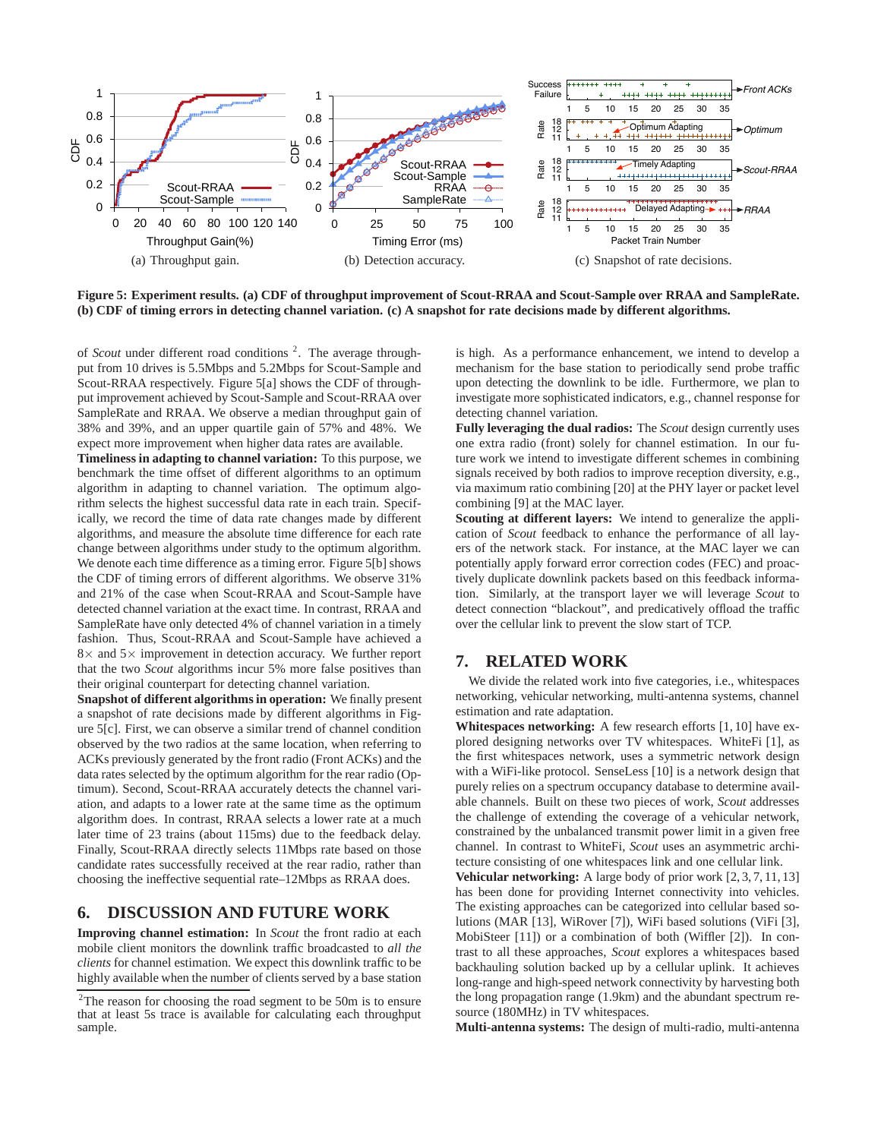

**Figure 5: Experiment results. (a) CDF of throughput improvement of Scout-RRAA and Scout-Sample over RRAA and SampleRate. (b) CDF of timing errors in detecting channel variation. (c) A snapshot for rate decisions made by different algorithms.**

of *Scout* under different road conditions<sup>2</sup>. The average throughput from 10 drives is 5.5Mbps and 5.2Mbps for Scout-Sample and Scout-RRAA respectively. Figure 5[a] shows the CDF of throughput improvement achieved by Scout-Sample and Scout-RRAA over SampleRate and RRAA. We observe a median throughput gain of 38% and 39%, and an upper quartile gain of 57% and 48%. We expect more improvement when higher data rates are available.

**Timeliness in adapting to channel variation:** To this purpose, we benchmark the time offset of different algorithms to an optimum algorithm in adapting to channel variation. The optimum algorithm selects the highest successful data rate in each train. Specifically, we record the time of data rate changes made by different algorithms, and measure the absolute time difference for each rate change between algorithms under study to the optimum algorithm. We denote each time difference as a timing error. Figure 5[b] shows the CDF of timing errors of different algorithms. We observe 31% and 21% of the case when Scout-RRAA and Scout-Sample have detected channel variation at the exact time. In contrast, RRAA and SampleRate have only detected 4% of channel variation in a timely fashion. Thus, Scout-RRAA and Scout-Sample have achieved a  $8\times$  and  $5\times$  improvement in detection accuracy. We further report that the two *Scout* algorithms incur 5% more false positives than their original counterpart for detecting channel variation.

**Snapshot of different algorithms in operation:** We finally present a snapshot of rate decisions made by different algorithms in Figure 5[c]. First, we can observe a similar trend of channel condition observed by the two radios at the same location, when referring to ACKs previously generated by the front radio (Front ACKs) and the data rates selected by the optimum algorithm for the rear radio (Optimum). Second, Scout-RRAA accurately detects the channel variation, and adapts to a lower rate at the same time as the optimum algorithm does. In contrast, RRAA selects a lower rate at a much later time of 23 trains (about 115ms) due to the feedback delay. Finally, Scout-RRAA directly selects 11Mbps rate based on those candidate rates successfully received at the rear radio, rather than choosing the ineffective sequential rate–12Mbps as RRAA does.

# **6. DISCUSSION AND FUTURE WORK**

**Improving channel estimation:** In *Scout* the front radio at each mobile client monitors the downlink traffic broadcasted to *all the clients* for channel estimation. We expect this downlink traffic to be highly available when the number of clients served by a base station is high. As a performance enhancement, we intend to develop a mechanism for the base station to periodically send probe traffic upon detecting the downlink to be idle. Furthermore, we plan to investigate more sophisticated indicators, e.g., channel response for detecting channel variation.

**Fully leveraging the dual radios:** The *Scout* design currently uses one extra radio (front) solely for channel estimation. In our future work we intend to investigate different schemes in combining signals received by both radios to improve reception diversity, e.g., via maximum ratio combining [20] at the PHY layer or packet level combining [9] at the MAC layer.

**Scouting at different layers:** We intend to generalize the application of *Scout* feedback to enhance the performance of all layers of the network stack. For instance, at the MAC layer we can potentially apply forward error correction codes (FEC) and proactively duplicate downlink packets based on this feedback information. Similarly, at the transport layer we will leverage *Scout* to detect connection "blackout", and predicatively offload the traffic over the cellular link to prevent the slow start of TCP.

## **7. RELATED WORK**

We divide the related work into five categories, i.e., whitespaces networking, vehicular networking, multi-antenna systems, channel estimation and rate adaptation.

**Whitespaces networking:** A few research efforts [1, 10] have explored designing networks over TV whitespaces. WhiteFi [1], as the first whitespaces network, uses a symmetric network design with a WiFi-like protocol. SenseLess [10] is a network design that purely relies on a spectrum occupancy database to determine available channels. Built on these two pieces of work, *Scout* addresses the challenge of extending the coverage of a vehicular network, constrained by the unbalanced transmit power limit in a given free channel. In contrast to WhiteFi, *Scout* uses an asymmetric architecture consisting of one whitespaces link and one cellular link.

**Vehicular networking:** A large body of prior work [2, 3, 7, 11, 13] has been done for providing Internet connectivity into vehicles. The existing approaches can be categorized into cellular based solutions (MAR [13], WiRover [7]), WiFi based solutions (ViFi [3], MobiSteer [11]) or a combination of both (Wiffler [2]). In contrast to all these approaches, *Scout* explores a whitespaces based backhauling solution backed up by a cellular uplink. It achieves long-range and high-speed network connectivity by harvesting both the long propagation range (1.9km) and the abundant spectrum resource (180MHz) in TV whitespaces.

**Multi-antenna systems:** The design of multi-radio, multi-antenna

<sup>&</sup>lt;sup>2</sup>The reason for choosing the road segment to be 50m is to ensure that at least 5s trace is available for calculating each throughput sample.